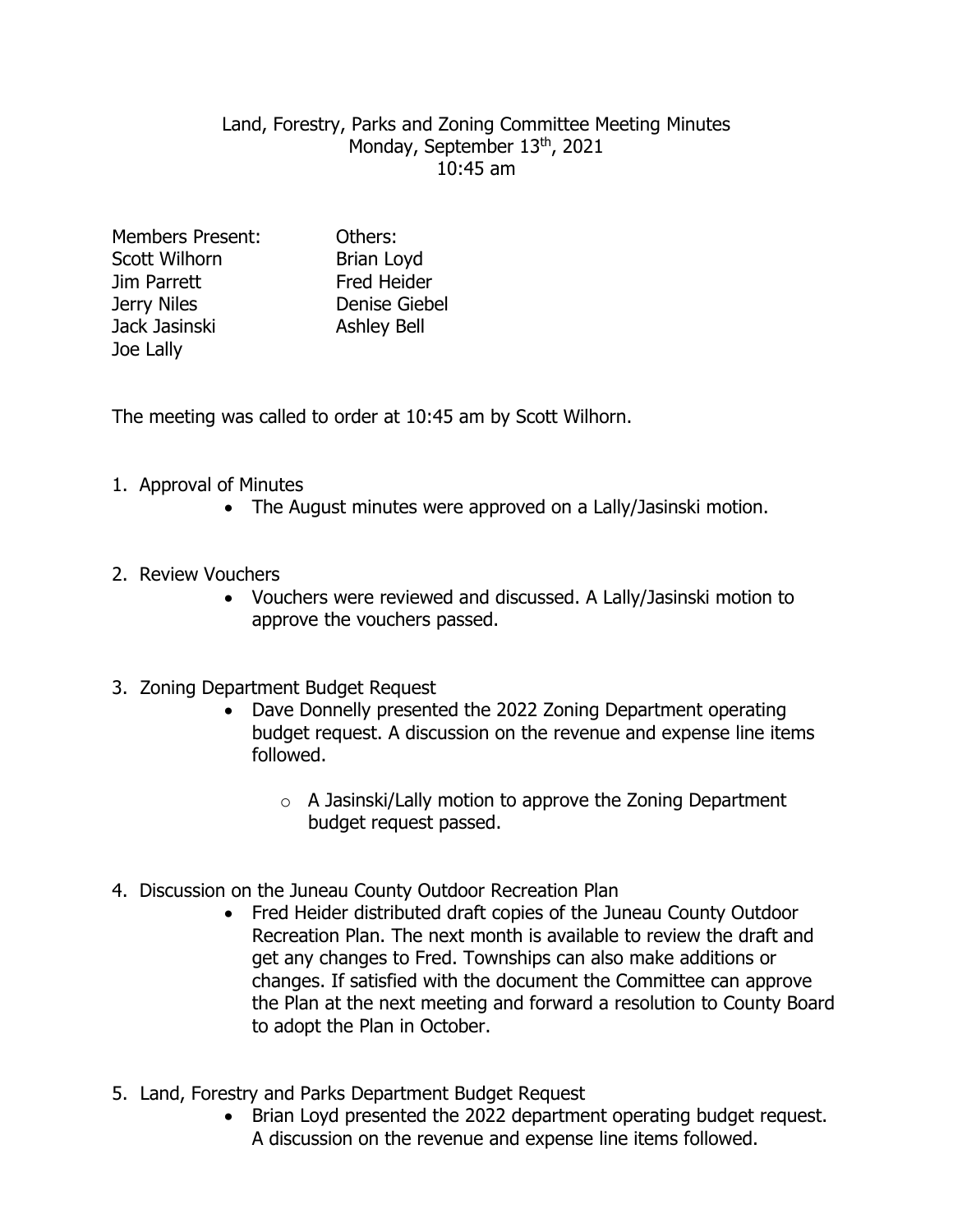#### Land, Forestry, Parks and Zoning Committee Meeting Minutes Monday, September 13th, 2021 10:45 am

Members Present: Others: Scott Wilhorn Brian Lovd Jim Parrett Fred Heider Jerry Niles Denise Giebel Jack Jasinski Ashley Bell Joe Lally

The meeting was called to order at 10:45 am by Scott Wilhorn.

## 1. Approval of Minutes

• The August minutes were approved on a Lally/Jasinski motion.

## 2. Review Vouchers

 Vouchers were reviewed and discussed. A Lally/Jasinski motion to approve the vouchers passed.

#### 3. Zoning Department Budget Request

- Dave Donnelly presented the 2022 Zoning Department operating budget request. A discussion on the revenue and expense line items followed.
	- o A Jasinski/Lally motion to approve the Zoning Department budget request passed.
- 4. Discussion on the Juneau County Outdoor Recreation Plan
	- Fred Heider distributed draft copies of the Juneau County Outdoor Recreation Plan. The next month is available to review the draft and get any changes to Fred. Townships can also make additions or changes. If satisfied with the document the Committee can approve the Plan at the next meeting and forward a resolution to County Board to adopt the Plan in October.
- 5. Land, Forestry and Parks Department Budget Request
	- Brian Loyd presented the 2022 department operating budget request. A discussion on the revenue and expense line items followed.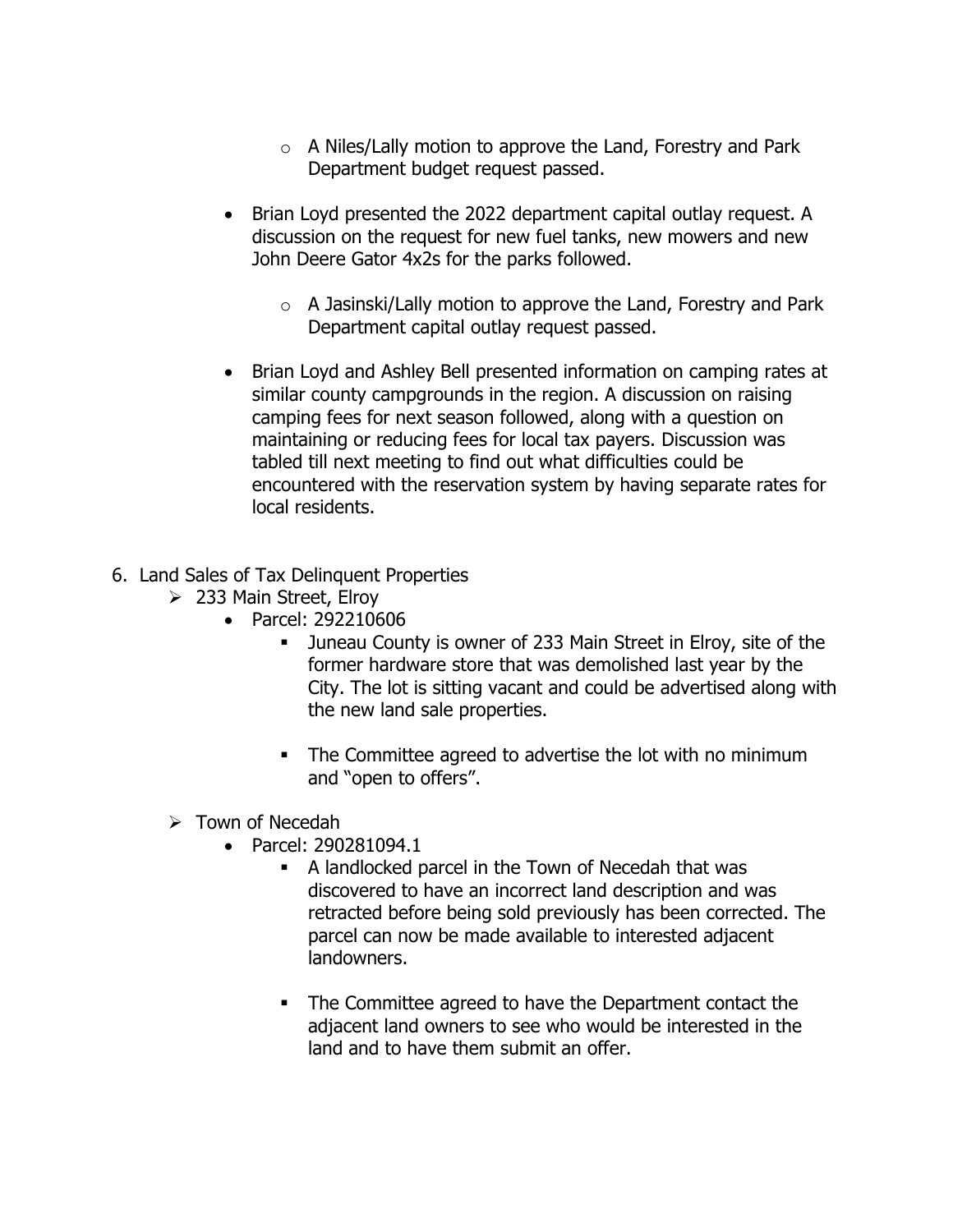- o A Niles/Lally motion to approve the Land, Forestry and Park Department budget request passed.
- Brian Loyd presented the 2022 department capital outlay request. A discussion on the request for new fuel tanks, new mowers and new John Deere Gator 4x2s for the parks followed.
	- $\circ$  A Jasinski/Lally motion to approve the Land, Forestry and Park Department capital outlay request passed.
- Brian Loyd and Ashley Bell presented information on camping rates at similar county campgrounds in the region. A discussion on raising camping fees for next season followed, along with a question on maintaining or reducing fees for local tax payers. Discussion was tabled till next meeting to find out what difficulties could be encountered with the reservation system by having separate rates for local residents.
- 6. Land Sales of Tax Delinquent Properties
	- $\geq$  233 Main Street, Elroy
		- Parcel: 292210606
			- Juneau County is owner of 233 Main Street in Elroy, site of the former hardware store that was demolished last year by the City. The lot is sitting vacant and could be advertised along with the new land sale properties.
			- The Committee agreed to advertise the lot with no minimum and "open to offers".
	- $\triangleright$  Town of Necedah
		- Parcel: 290281094.1
			- A landlocked parcel in the Town of Necedah that was discovered to have an incorrect land description and was retracted before being sold previously has been corrected. The parcel can now be made available to interested adjacent landowners.
			- The Committee agreed to have the Department contact the adjacent land owners to see who would be interested in the land and to have them submit an offer.